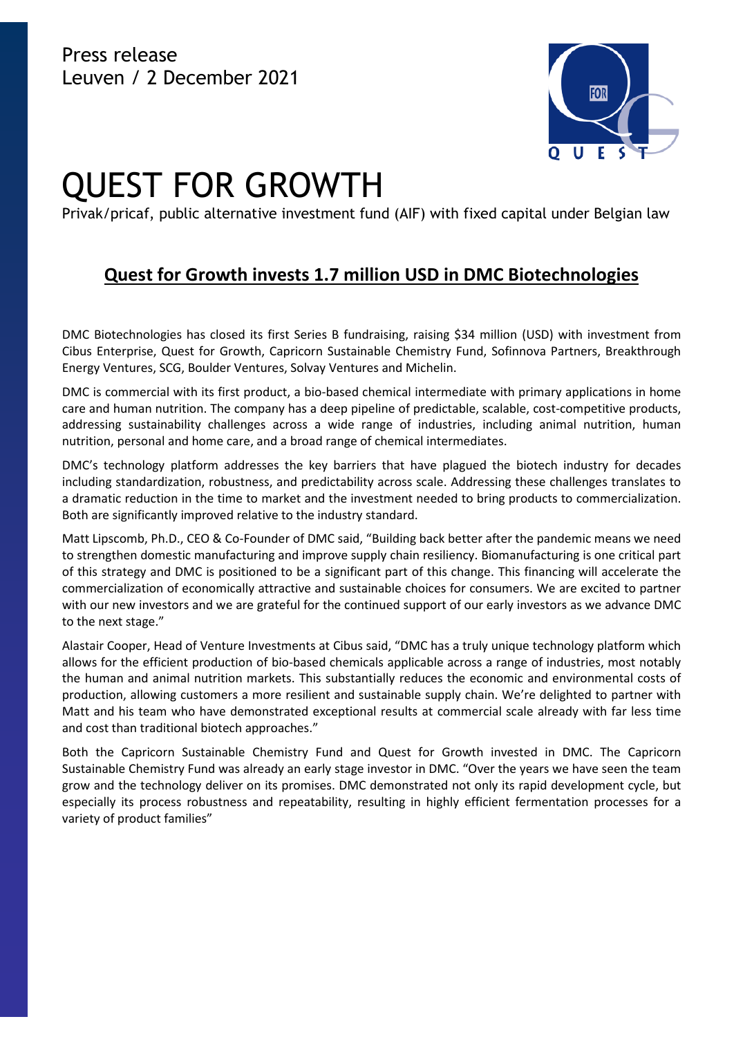

# QUEST FOR GROWTH

Privak/pricaf, public alternative investment fund (AIF) with fixed capital under Belgian law

## **Quest for Growth invests 1.7 million USD in DMC Biotechnologies**

DMC Biotechnologies has closed its first Series B fundraising, raising \$34 million (USD) with investment from Cibus Enterprise, Quest for Growth, Capricorn Sustainable Chemistry Fund, Sofinnova Partners, Breakthrough Energy Ventures, SCG, Boulder Ventures, Solvay Ventures and Michelin.

DMC is commercial with its first product, a bio-based chemical intermediate with primary applications in home care and human nutrition. The company has a deep pipeline of predictable, scalable, cost-competitive products, addressing sustainability challenges across a wide range of industries, including animal nutrition, human nutrition, personal and home care, and a broad range of chemical intermediates.

DMC's technology platform addresses the key barriers that have plagued the biotech industry for decades including standardization, robustness, and predictability across scale. Addressing these challenges translates to a dramatic reduction in the time to market and the investment needed to bring products to commercialization. Both are significantly improved relative to the industry standard.

Matt Lipscomb, Ph.D., CEO & Co-Founder of DMC said, "Building back better after the pandemic means we need to strengthen domestic manufacturing and improve supply chain resiliency. Biomanufacturing is one critical part of this strategy and DMC is positioned to be a significant part of this change. This financing will accelerate the commercialization of economically attractive and sustainable choices for consumers. We are excited to partner with our new investors and we are grateful for the continued support of our early investors as we advance DMC to the next stage."

Alastair Cooper, Head of Venture Investments at Cibus said, "DMC has a truly unique technology platform which allows for the efficient production of bio-based chemicals applicable across a range of industries, most notably the human and animal nutrition markets. This substantially reduces the economic and environmental costs of production, allowing customers a more resilient and sustainable supply chain. We're delighted to partner with Matt and his team who have demonstrated exceptional results at commercial scale already with far less time and cost than traditional biotech approaches."

Both the Capricorn Sustainable Chemistry Fund and Quest for Growth invested in DMC. The Capricorn Sustainable Chemistry Fund was already an early stage investor in DMC. "Over the years we have seen the team grow and the technology deliver on its promises. DMC demonstrated not only its rapid development cycle, but especially its process robustness and repeatability, resulting in highly efficient fermentation processes for a variety of product families"